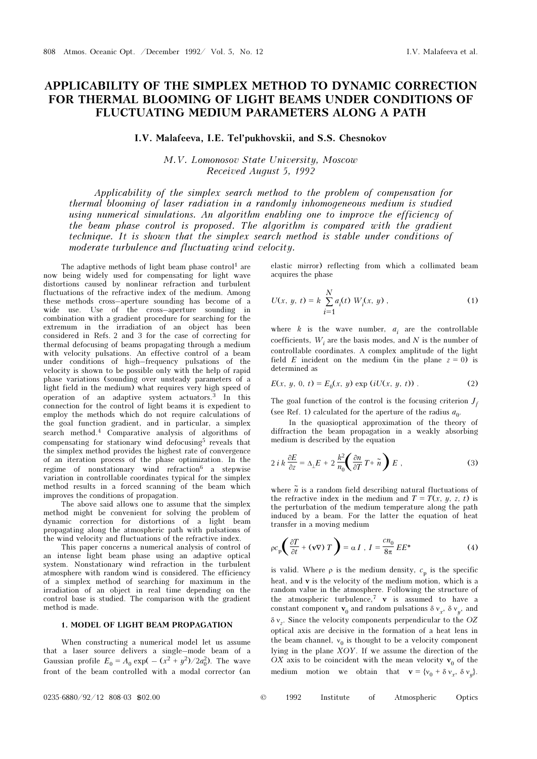# APPLICABILITY OF THE SIMPLEX METHOD TO DYNAMIC CORRECTION FOR THERMAL BLOOMING OF LIGHT BEAMS UNDER CONDITIONS OF FLUCTUATING MEDIUM PARAMETERS ALONG A PATH

## I.V. Malafeeva, I.E. Tel'pukhovskii, and S.S. Chesnokov

M.V. Lomonosov State University, Moscow Received August 5, 1992

Applicability of the simplex search method to the problem of compensation for thermal blooming of laser radiation in a randomly inhomogeneous medium is studied using numerical simulations. An algorithm enabling one to improve the efficiency of the beam phase control is proposed. The algorithm is compared with the gradient technique. It is shown that the simplex search method is stable under conditions of moderate turbulence and fluctuating wind velocity.

The adaptive methods of light beam phase control<sup>1</sup> are now being widely used for compensating for light wave distortions caused by nonlinear refraction and turbulent fluctuations of the refractive index of the medium. Among these methods cross–aperture sounding has become of a wide use. Use of the cross–aperture sounding in combination with a gradient procedure for searching for the extremum in the irradiation of an object has been considered in Refs. 2 and 3 for the case of correcting for thermal defocusing of beams propagating through a medium with velocity pulsations. An effective control of a beam under conditions of high–frequency pulsations of the velocity is shown to be possible only with the help of rapid phase variations (sounding over unsteady parameters of a light field in the medium) what requires very high speed of operation of an adaptive system actuators.3 In this connection for the control of light beams it is expedient to employ the methods which do not require calculations of the goal function gradient, and in particular, a simplex search method.4 Comparative analysis of algorithms of compensating for stationary wind defocusing<sup>5</sup> reveals that the simplex method provides the highest rate of convergence of an iteration process of the phase optimization. In the regime of nonstationary wind refraction<sup>6</sup> a stepwise variation in controllable coordinates typical for the simplex method results in a forced scanning of the beam which improves the conditions of propagation.

The above said allows one to assume that the simplex method might be convenient for solving the problem of dynamic correction for distortions of a light beam propagating along the atmospheric path with pulsations of the wind velocity and fluctuations of the refractive index.

This paper concerns a numerical analysis of control of an intense light beam phase using an adaptive optical system. Nonstationary wind refraction in the turbulent atmosphere with random wind is considered. The efficiency of a simplex method of searching for maximum in the irradiation of an object in real time depending on the control base is studied. The comparison with the gradient method is made.

#### 1. MODEL OF LIGHT BEAM PROPAGATION

When constructing a numerical model let us assume that a laser source delivers a single–mode beam of a Gaussian profile  $E_0 = A_0 \exp(-((x^2 + y^2)/2a_0^2))$ . The wave front of the beam controlled with a modal corrector (an

elastic mirror) reflecting from which a collimated beam acquires the phase

$$
U(x, y, t) = k \sum_{i=1}^{N} a_i(t) W_i(x, y),
$$
 (1)

where  $k$  is the wave number,  $a_i$  are the controllable coefficients,  $W_i$  are the basis modes, and N is the number of controllable coordinates. A complex amplitude of the light field E incident on the medium (in the plane  $z = 0$ ) is determined as

$$
E(x, y, 0, t) = E_0(x, y) \exp(iU(x, y, t))
$$
 (2)

The goal function of the control is the focusing criterion  $J_f$ (see Ref. 1) calculated for the aperture of the radius  $a_{0}$ .

In the quasioptical approximation of the theory of diffraction the beam propagation in a weakly absorbing medium is described by the equation

$$
2 i k \frac{\partial E}{\partial z} = \Delta_{\perp} E + 2 \frac{k^2}{n_0} \left( \frac{\partial n}{\partial T} T + \tilde{n} \right) E , \qquad (3)
$$

where  $\tilde{n}$  is a random field describing natural fluctuations of the refractive index in the medium and  $T = T(x, y, z, t)$  is the perturbation of the medium temperature along the path induced by a beam. For the latter the equation of heat transfer in a moving medium

$$
\rho c_p \left( \frac{\partial T}{\partial t} + (\mathbf{v} \nabla) T \right) = \alpha I \ , \ I = \frac{c n_0}{8 \pi} E E^* \tag{4}
$$

is valid. Where  $\rho$  is the medium density,  $c_p$  is the specific heat, and v is the velocity of the medium motion, which is a random value in the atmosphere. Following the structure of the atmospheric turbulence,<sup>7</sup>  $\bf{v}$  is assumed to have a constant component  $\mathbf{v}_0$  and random pulsations  $\delta v_x$ ,  $\delta v_y$ , and  $\delta v_z$ . Since the velocity components perpendicular to the OZ optical axis are decisive in the formation of a heat lens in the beam channel,  $v_0$  is thought to be a velocity component lying in the plane  $XOY$ . If we assume the direction of the OX axis to be coincident with the mean velocity  $v_0$  of the medium motion we obtain that  $\mathbf{v} = \{v_0 + \delta v_x, \delta v_y\}.$ 

| $^\copyright$ | 1992 | Institute |  | Atmospheric | Optics |
|---------------|------|-----------|--|-------------|--------|
|---------------|------|-----------|--|-------------|--------|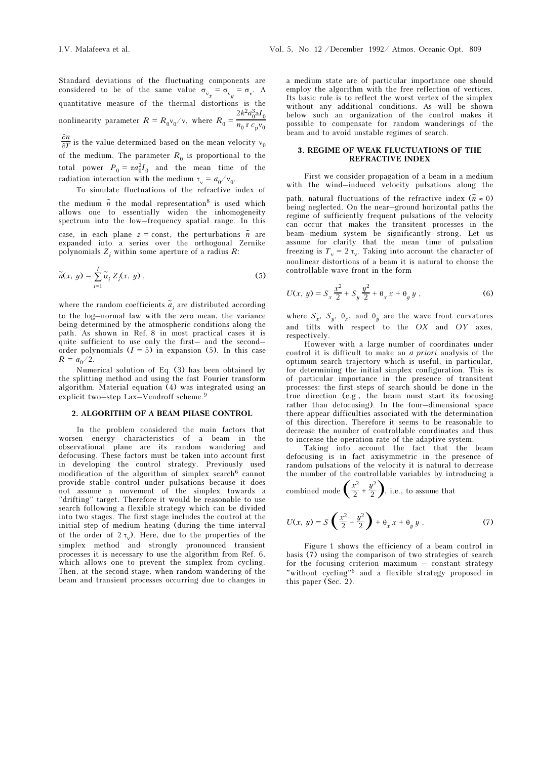Standard deviations of the fluctuating components are considered to be of the same value  $\sigma_{v_x} = \sigma_{v_y} = \sigma_v$ . A quantitative measure of the thermal distortions is the nonlinearity parameter  $R = R_0 v_0 / v$ , where  $R_0 =$  $2k^2a_0^3$ a $I_0$  $n_0$  r  $c_p v_0$ 

 $\frac{\partial n}{\partial T}$  is the value determined based on the mean velocity  ${\rm v}_0$ of the medium. The parameter  $R_0$  is proportional to the total power  $P_0 = \pi a_0^2 I_0$  and the mean time of the radiation interaction with the medium  $\tau_{v} = a_0/v_0$ .

To simulate fluctuations of the refractive index of

the medium  $\tilde{n}$  the modal representation<sup>8</sup> is used which allows one to essentially widen the inhomogeneity spectrum into the low–frequency spatial range. In this case, in each plane  $z = \text{const}$ , the perturbations  $\tilde{n}$  are expanded into a series over the orthogonal Zernike polynomials  $Z_i$  within some aperture of a radius  $R$ :

$$
\widetilde{n}(x, y) = \sum_{i=1}^{I} \widetilde{\alpha}_i Z_i(x, y) , \qquad (5)
$$

where the random coefficients  $\tilde{\textbf{\emph{a}}}_{i}$  are distributed according to the log–normal law with the zero mean, the variance being determined by the atmospheric conditions along the path. As shown in Ref. 8 in most practical cases it is quite sufficient to use only the first– and the second– order polynomials  $(I = 5)$  in expansion (5). In this case  $R = a_0/2$ .

Numerical solution of Eq. (3) has been obtained by the splitting method and using the fast Fourier transform algorithm. Material equation (4) was integrated using an explicit two–step Lax–Vendroff scheme.<sup>9</sup>

#### 2. ALGORITHM OF A BEAM PHASE CONTROL

In the problem considered the main factors that worsen energy characteristics of a beam in the observational plane are its random wandering and defocusing. These factors must be taken into account first in developing the control strategy. Previously used modification of the algorithm of simplex search  $6$  cannot provide stable control under pulsations because it does not assume a movement of the simplex towards a "drifting" target. Therefore it would be reasonable to use search following a flexible strategy which can be divided into two stages. The first stage includes the control at the initial step of medium heating (during the time interval of the order of  $2 \tau_{v}$ ). Here, due to the properties of the simplex method and strongly pronounced transient processes it is necessary to use the algorithm from Ref. 6, which allows one to prevent the simplex from cycling. Then, at the second stage, when random wandering of the beam and transient processes occurring due to changes in a medium state are of particular importance one should employ the algorithm with the free reflection of vertices. Its basic rule is to reflect the worst vertex of the simplex without any additional conditions. As will be shown below such an organization of the control makes it possible to compensate for random wanderings of the

#### 3. REGIME OF WEAK FLUCTUATIONS OF THE REFRACTIVE INDEX

First we consider propagation of a beam in a medium with the wind–induced velocity pulsations along the

path, natural fluctuations of the refractive index  $(\tilde{n} \approx 0)$ being neglected. On the near–ground horizontal paths the regime of sufficiently frequent pulsations of the velocity can occur that makes the transitent processes in the beam–medium system be significantly strong. Let us assume for clarity that the mean time of pulsation freezing is  $T_v = 2 \tau_v$ . Taking into account the character of nonlinear distortions of a beam it is natural to choose the controllable wave front in the form

$$
U(x, y) = S_x \frac{x^2}{2} + S_y \frac{y^2}{2} + \theta_x x + \theta_y y , \qquad (6)
$$

where  $S_x$ ,  $S_y$ ,  $\theta_x$ , and  $\theta_y$  are the wave front curvatures and tilts with respect to the OX and OY axes, respectively.

However with a large number of coordinates under control it is difficult to make an a priori analysis of the optimum search trajectory which is useful, in particular, for determining the initial simplex configuration. This is of particular importance in the presence of transitent processes: the first steps of search should be done in the true direction (e.g., the beam must start its focusing rather than defocusing). In the four–dimensional space there appear difficulties associated with the determination of this direction. Therefore it seems to be reasonable to decrease the number of controllable coordinates and thus to increase the operation rate of the adaptive system.

Taking into account the fact that the beam defocusing is in fact axisymmetric in the presence of random pulsations of the velocity it is natural to decrease the number of the controllable variables by introducing a

combined mode 
$$
\left(\frac{x^2}{2} + \frac{y^2}{2}\right)
$$
, i.e., to assume that

$$
U(x, y) = S\left(\frac{x^2}{2} + \frac{y^2}{2}\right) + \theta_x x + \theta_y y \ . \tag{7}
$$

Figure 1 shows the efficiency of a beam control in basis (7) using the comparison of two strategies of search for the focusing criterion maximum – constant strategy "without cycling"6 and a flexible strategy proposed in this paper (Sec. 2).

beam and to avoid unstable regimes of search.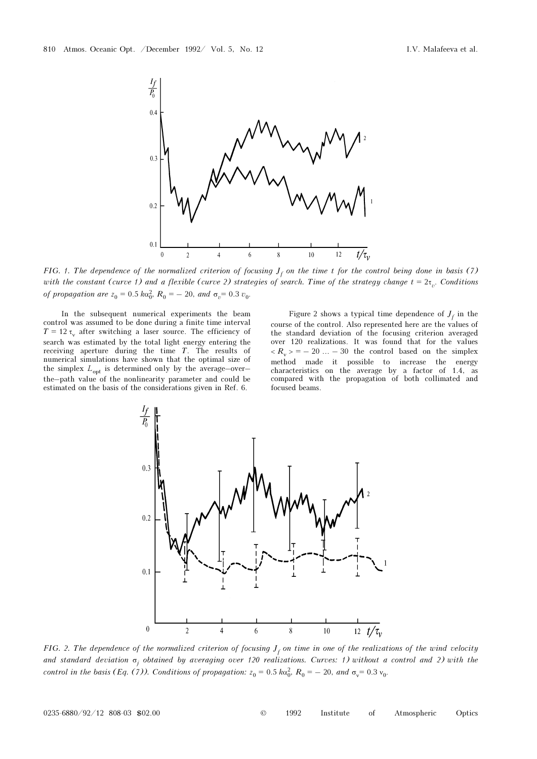

FIG. 1. The dependence of the normalized criterion of focusing  $J_f$  on the time t for the control being done in basis (7) with the constant (curve 1) and a flexible (curve 2) strategies of search. Time of the strategy change  $t = 2\tau_{n}$ . Conditions of propagation are  $z_0 = 0.5 \kappa a_0^2$ ,  $R_0 = -20$ , and  $\sigma_v = 0.3 v_0$ .

In the subsequent numerical experiments the beam control was assumed to be done during a finite time interval  $T = 12 \tau$ , after switching a laser source. The efficiency of search was estimated by the total light energy entering the receiving aperture during the time T. The results of numerical simulations have shown that the optimal size of the simplex  $L_{opt}$  is determined only by the average–over– the–path value of the nonlinearity parameter and could be estimated on the basis of the considerations given in Ref. 6.

Figure 2 shows a typical time dependence of  $J_f$  in the course of the control. Also represented here are the values of the standard deviation of the focusing criterion averaged over 120 realizations. It was found that for the values  $\langle R_{\nu} \rangle = -20$  ... – 30 the control based on the simplex method made it possible to increase the energy characteristics on the average by a factor of 1.4, as compared with the propagation of both collimated and focused beams.



FIG. 2. The dependence of the normalized criterion of focusing  $J_f$  on time in one of the realizations of the wind velocity and standard deviation <del>σ<sub>j</sub> obtained by averaging over 120 realizations. Curves: 1) without a control and 2) with the</del> control in the basis (Eq. (7)). Conditions of propagation:  $z_0 = 0.5$  k $\alpha_0^2$ ,  $R_0 = -20$ , and  $\sigma_v = 0.3$   $v_0$ .